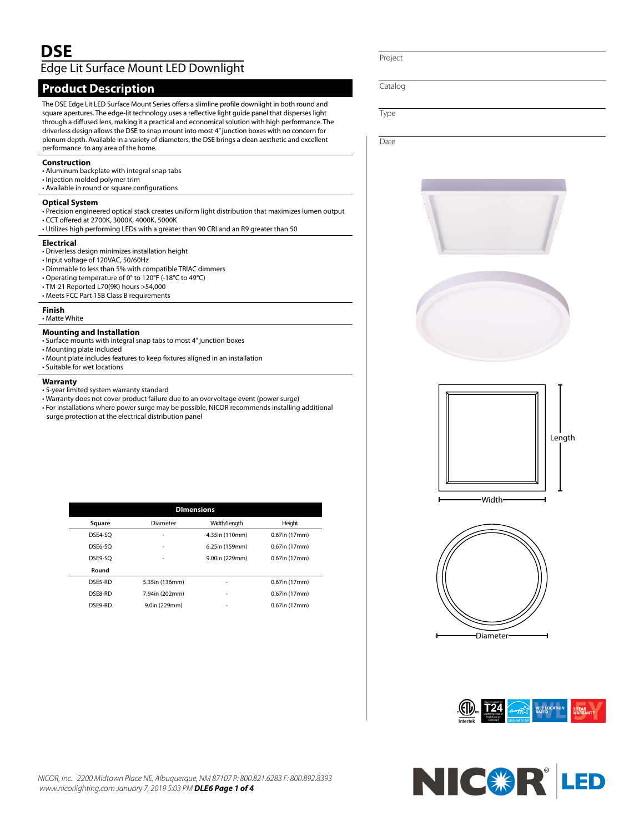# Edge Lit Surface Mount LED Downlight

## **Product Description**

The DSE Edge Lit LED Surface Mount Series offers a slimline profile downlight in both round and square apertures. The edge-lit technology uses a reflective light guide panel that disperses light through a diffused lens, making it a practical and economical solution with high performance. The driverless design allows the DSE to snap mount into most 4" junction boxes with no concern for plenum depth. Available in a variety of diameters, the DSE brings a clean aesthetic and excellent performance to any area of the home.

#### **Construction**

- Aluminum backplate with integral snap tabs
- Injection molded polymer trim
- Available in round or square configurations

## **Optical System**

- Precision engineered optical stack creates uniform light distribution that maximizes lumen output • CCT offered at 2700K, 3000K, 4000K, 5000K
- Utilizes high performing LEDs with a greater than 90 CRI and an R9 greater than 50

#### **Electrical**

- Driverless design minimizes installation height
- Input voltage of 120VAC, 50/60Hz
- Dimmable to less than 5% with compatible TRIAC dimmers
- Operating temperature of 0° to 120°F (-18°C to 49°C)
- TM-21 Reported L70(9K) hours >54,000
- Meets FCC Part 15B Class B requirements

#### **Finish**

• Matte White

#### **Mounting and Installation**

- Surface mounts with integral snap tabs to most 4" junction boxes
- Mounting plate included
- Mount plate includes features to keep fixtures aligned in an installation
- Suitable for wet locations

## **Warranty**

- 5-year limited system warranty standard
- Warranty does not cover product failure due to an overvoltage event (power surge)
- For installations where power surge may be possible, NICOR recommends installing additional
- surge protection at the electrical distribution panel

| <b>DImensions</b> |         |                |                |                  |
|-------------------|---------|----------------|----------------|------------------|
|                   | Square  | Diameter       | Width/Length   | Height           |
|                   | DSE4-SO | ٠              | 4.35in (110mm) | $0.67$ in (17mm) |
|                   | DSE6-SO | ٠              | 6.25in (159mm) | 0.67in (17mm)    |
|                   | DSE9-SO | ٠              | 9.00in (229mm) | $0.67$ in (17mm) |
|                   | Round   |                |                |                  |
|                   | DSE5-RD | 5.35in (136mm) |                | 0.67in (17mm)    |
|                   | DSE8-RD | 7.94in (202mm) | ٠              | 0.67in (17mm)    |
|                   | DSE9-RD | 9.0in (229mm)  |                | 0.67in (17mm)    |
|                   |         |                |                |                  |

Project

Catalog

Type

**Date** 











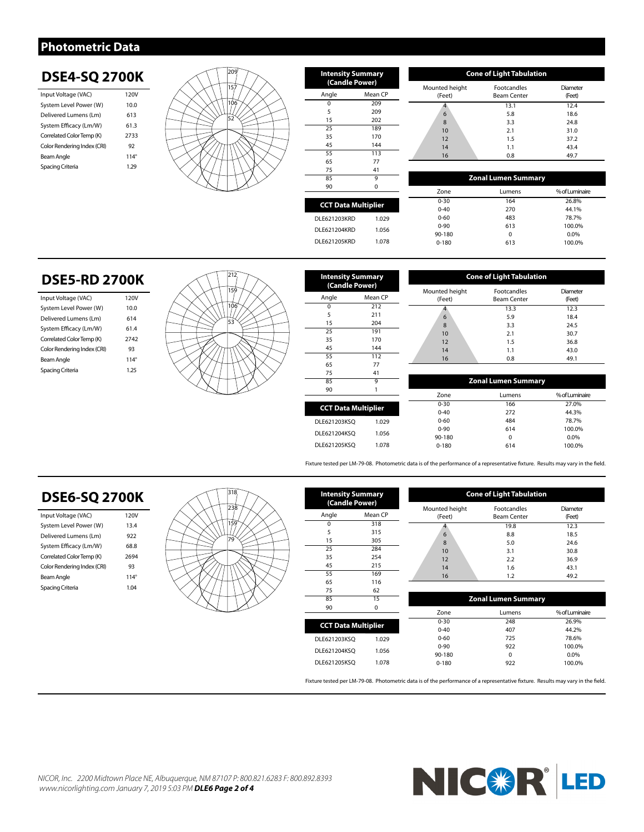## **Photometric Data**

# **DSE4-SQ 2700K**

| Input Voltage (VAC)         | 120V        |
|-----------------------------|-------------|
| System Level Power (W)      | 10.0        |
| Delivered Lumens (Lm)       | 613         |
| System Efficacy (Lm/W)      | 61.3        |
| Correlated Color Temp (K)   | 2733        |
| Color Rendering Index (CRI) | 92          |
| Beam Angle                  | $114^\circ$ |
| Spacing Criteria            | 1.79        |
|                             |             |



| <b>Intensity Summary</b><br>(Candle Power) |          |  |  |
|--------------------------------------------|----------|--|--|
| Angle<br>Mean CP                           |          |  |  |
| $\Omega$                                   | 209      |  |  |
| 5                                          | 209      |  |  |
| 15                                         | 202      |  |  |
| 25                                         | 189      |  |  |
| 35                                         | 170      |  |  |
| 45                                         | 144      |  |  |
| 55                                         | 113      |  |  |
| 65                                         | 77       |  |  |
| 75                                         | 41       |  |  |
| 85                                         | 9        |  |  |
| 90                                         | $\Omega$ |  |  |
|                                            |          |  |  |
| <b>CCT Data Multiplier</b>                 |          |  |  |
| <b>DLE621203KRD</b>                        | 1.029    |  |  |
| DLE621204KRD                               | 1.056    |  |  |

| <b>Cone of Light Tabulation</b> |                                          |                    |  |  |
|---------------------------------|------------------------------------------|--------------------|--|--|
| Mounted height<br>(Feet)        | <b>Footcandles</b><br><b>Beam Center</b> | Diameter<br>(Feet) |  |  |
|                                 | 13.1                                     | 12.4               |  |  |
| 6                               | 5.8                                      | 18.6               |  |  |
| 8                               | 3.3                                      | 24.8               |  |  |
| 10                              | 2.1                                      | 31.0               |  |  |
| 12                              | 1.5                                      | 37.2               |  |  |
| 14                              | 1.1                                      | 43.4               |  |  |
| 16                              | 0.8                                      | 49.7               |  |  |

| 85                         | 9     |           | <b>Zonal Lumen Summary</b> |                |
|----------------------------|-------|-----------|----------------------------|----------------|
| 90                         | 0     | Zone      | Lumens                     | % of Luminaire |
| <b>CCT Data Multiplier</b> |       | $0 - 30$  | 164                        | 26.8%          |
|                            |       | $0 - 40$  | 270                        | 44.1%          |
| DLE621203KRD               | 1.029 | $0 - 60$  | 483                        | 78.7%          |
| DLE621204KRD               |       | $0 - 90$  | 613                        | 100.0%         |
|                            | 1.056 | 90-180    | 0                          | 0.0%           |
| <b>DLE621205KRD</b>        | 1.078 | $0 - 180$ | 613                        | 100.0%         |
|                            |       |           |                            |                |

# **DSE5-RD 2700K**

| Input Voltage (VAC)         | 120V        |
|-----------------------------|-------------|
| System Level Power (W)      | 10.0        |
| Delivered Lumens (Lm)       | 614         |
| System Efficacy (Lm/W)      | 614         |
| Correlated Color Temp (K)   | 2742        |
| Color Rendering Index (CRI) | 93          |
| Beam Angle                  | $114^\circ$ |
| Spacing Criteria            | 1 25        |
|                             |             |



| <b>Intensity Summary</b><br>(Candle Power) |         |  |
|--------------------------------------------|---------|--|
| Angle                                      | Mean CP |  |
| $\Omega$                                   | 212     |  |
| 5                                          | 211     |  |
| 15                                         | 204     |  |
| 25                                         | 191     |  |
| 35                                         | 170     |  |
| 45                                         | 144     |  |
| 55                                         | 112     |  |
| 65                                         | 77      |  |
| 75                                         | 41      |  |
| 85                                         | 9       |  |
| 90                                         | 1       |  |
|                                            |         |  |
| <b>CCT Data Multiplier</b>                 |         |  |
| DLE621203KSO                               | 1.029   |  |
| DLE621204KSO                               | 1.056   |  |
| DLE621205KSO                               | 1.078   |  |

| <b>Cone of Light Tabulation</b> |                                          |                    |  |  |
|---------------------------------|------------------------------------------|--------------------|--|--|
| Mounted height<br>(Feet)        | <b>Footcandles</b><br><b>Beam Center</b> | Diameter<br>(Feet) |  |  |
|                                 | 13.3                                     | 12.3               |  |  |
| 6                               | 5.9                                      | 18.4               |  |  |
| 8                               | 3.3                                      | 24.5               |  |  |
| 10                              | 2.1                                      | 30.7               |  |  |
| 12                              | 1.5                                      | 36.8               |  |  |
| 14                              | 1.1                                      | 43.0               |  |  |
| 16                              | 0.8                                      | 49.1               |  |  |

|                 | 9     |           | <b>Zonal Lumen Summary</b> |                |  |  |
|-----------------|-------|-----------|----------------------------|----------------|--|--|
|                 |       | Zone      | Lumens                     | % of Luminaire |  |  |
| Data Multiplier |       | $0 - 30$  | 166                        | 27.0%          |  |  |
|                 |       | $0 - 40$  | 272                        | 44.3%          |  |  |
| 203KSO          | 1.029 | $0 - 60$  | 484                        | 78.7%          |  |  |
| 204KSO          |       | $0 - 90$  | 614                        | 100.0%         |  |  |
|                 | 1.056 | 90-180    | $\mathbf 0$                | 0.0%           |  |  |
| 205KSO          | 1.078 | $0 - 180$ | 614                        | 100.0%         |  |  |

Fixture tested per LM-79-08. Photometric data is of the performance of a representative fixture. Results may vary in the field.

#### **DSE6-SQ 2700K** Input Voltage (VAC) 120V System Level Power (W) 13.4 Delivered Lumens (Lm) 922 System Efficacy (Lm/W) 68.8 Correlated Color Temp (K) 2694 Color Rendering Index (CRI) 93 Beam Angle 114° Spacing Criteria 1.04 **Zonal Lumen Summary** Zone Lumens % of Luminaire 0-30 248 26.9%<br>0-40 407 44.2% 44.2% 0-60 725 78.6%<br>0-90 922 100.0% 0-100.0%<br>0-20 100.0% 90-180 0<br>0-180 922 0-180 922 100.0% **Cone of Light Tabulation** Mounted height (Feet) Footcandles Beam Center Diameter (Feet) 4 19.8 12.3 6 8.8 18.5 8 5.0 24.6 10 3.1 30.8 12 2.2 36.9 14 1.6 43.1 16 1.2 49.2 **Intensity Summary (Candle Power)** Angle Mean CP  $\begin{array}{@{}c@{}} 0 & 318 \\ 5 & 315 \end{array}$ 5 315 15 305<br>25 284 25 284<br>35 254 35 254 45 215<br>55 2169 55 169<br>65 116 116  $\begin{array}{@{}c@{\hspace{1em}}c@{\hspace{1em}}c@{\hspace{1em}}c@{\hspace{1em}}c@{\hspace{1em}}c@{\hspace{1em}}c@{\hspace{1em}}c@{\hspace{1em}}c@{\hspace{1em}}c@{\hspace{1em}}c@{\hspace{1em}}c@{\hspace{1em}}c@{\hspace{1em}}c@{\hspace{1em}}c@{\hspace{1em}}c@{\hspace{1em}}c@{\hspace{1em}}c@{\hspace{1em}}c@{\hspace{1em}}c@{\hspace{1em}}c@{\hspace{1em}}c@{\hspace{1em}}c@{\hspace{1em}}c@{\hspace{$  $\frac{15}{0}$ 90 0 **CCT Data Multiplier** DLE621203KSQ 1.029 DLE621204KSQ 1.056 DLE621205KSQ 1.078 318 238 159 79

Fixture tested per LM-79-08. Photometric data is of the performance of a representative fixture. Results may vary in the field.



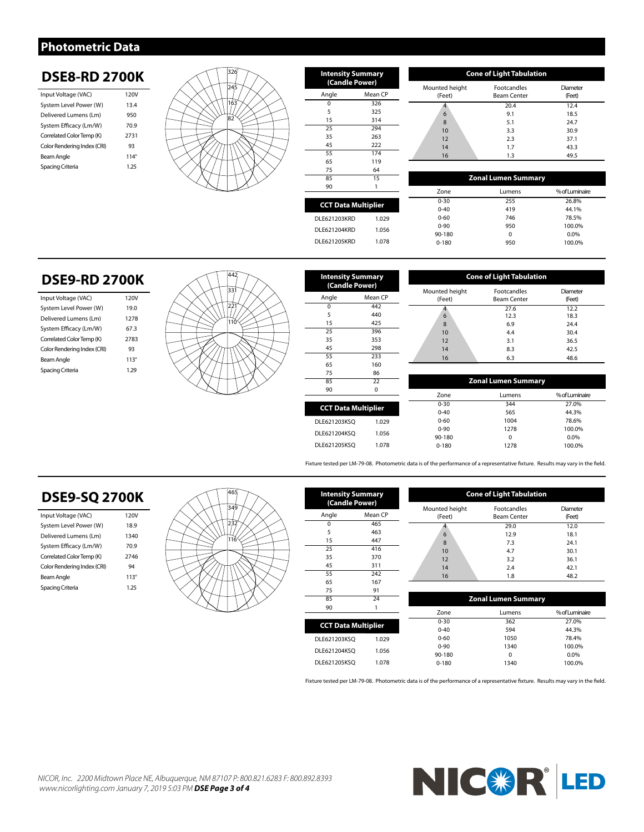## **Photometric Data**

# **DSE8-RD 2700K**

| Input Voltage (VAC)         | 120V        |
|-----------------------------|-------------|
| System Level Power (W)      | 13.4        |
| Delivered Lumens (Lm)       | 950         |
| System Efficacy (Lm/W)      | 70.9        |
| Correlated Color Temp (K)   | 2731        |
| Color Rendering Index (CRI) | 93          |
| Beam Angle                  | $114^\circ$ |
| Spacing Criteria            | 1 25        |
|                             |             |



| <b>Intensity Summary</b><br>(Candle Power) |         |  |
|--------------------------------------------|---------|--|
| Angle                                      | Mean CP |  |
| $\Omega$                                   | 326     |  |
| 5                                          | 325     |  |
| 15                                         | 314     |  |
| 25                                         | 294     |  |
| 35                                         | 263     |  |
| 45                                         | 222     |  |
| 55                                         | 174     |  |
| 65                                         | 119     |  |
| 75                                         | 64      |  |
| 85                                         | 15      |  |
| 90                                         | 1       |  |
|                                            |         |  |
| <b>CCT Data Multiplier</b>                 |         |  |
| <b>DLE621203KRD</b>                        | 1.029   |  |
| DLE621204KRD                               | 1.056   |  |

| <b>Cone of Light Tabulation</b> |                                          |                    |  |  |
|---------------------------------|------------------------------------------|--------------------|--|--|
| Mounted height<br>(Feet)        | <b>Footcandles</b><br><b>Beam Center</b> | Diameter<br>(Feet) |  |  |
|                                 | 20.4                                     | 12.4               |  |  |
| 6                               | 9.1                                      | 18.5               |  |  |
| 8                               | 5.1                                      | 24.7               |  |  |
| 10                              | 3.3                                      | 30.9               |  |  |
| 12                              | 2.3                                      | 37.1               |  |  |
| 14                              | 1.7                                      | 43.3               |  |  |
| 16                              | 1.3                                      | 49.5               |  |  |

|                            | - -   |           |                            |                |
|----------------------------|-------|-----------|----------------------------|----------------|
| 85                         | 15    |           | <b>Zonal Lumen Summary</b> |                |
| 90                         |       | Zone      | Lumens                     | % of Luminaire |
| <b>CCT Data Multiplier</b> |       | $0 - 30$  | 255                        | 26.8%          |
|                            |       | $0 - 40$  | 419                        | 44.1%          |
| DLE621203KRD               | 1.029 | $0 - 60$  | 746                        | 78.5%          |
| DLE621204KRD               |       | $0 - 90$  | 950                        | 100.0%         |
|                            | 1.056 | 90-180    | 0                          | $0.0\%$        |
| <b>DLE621205KRD</b>        | 1.078 | $0 - 180$ | 950                        | 100.0%         |
|                            |       |           |                            |                |

# **DSE9-RD 2700K**

| Input Voltage (VAC)         | 120V        |
|-----------------------------|-------------|
| System Level Power (W)      | 19.0        |
| Delivered Lumens (Lm)       | 1278        |
| System Efficacy (Lm/W)      | 673         |
| Correlated Color Temp (K)   | 2783        |
| Color Rendering Index (CRI) | 93          |
| Beam Angle                  | $113^\circ$ |
| Spacing Criteria            | 1 29        |
|                             |             |



| <b>Intensity Summary</b><br>(Candle Power) |                            |  |  |
|--------------------------------------------|----------------------------|--|--|
| Angle                                      | Mean CP                    |  |  |
| $\Omega$                                   | 442                        |  |  |
| 5                                          | 440                        |  |  |
| 15                                         | 425                        |  |  |
| 25                                         | 396                        |  |  |
| 35                                         | 353                        |  |  |
| 45                                         | 298                        |  |  |
| 55                                         | 233                        |  |  |
| 65                                         | 160                        |  |  |
| 75                                         | 86                         |  |  |
| 85                                         | 22                         |  |  |
| 90                                         | $\Omega$                   |  |  |
|                                            |                            |  |  |
|                                            | <b>CCT Data Multiplier</b> |  |  |
| DLE621203KSO                               | 1.029                      |  |  |
| DLE621204KSO                               | 1.056                      |  |  |
| DLE621205KSO                               | 1.078                      |  |  |

| <b>Cone of Light Tabulation</b> |                                          |                    |  |  |  |
|---------------------------------|------------------------------------------|--------------------|--|--|--|
| Mounted height<br>(Feet)        | <b>Footcandles</b><br><b>Beam Center</b> | Diameter<br>(Feet) |  |  |  |
| 6                               | 27.6<br>12.3                             | 12.2<br>18.3       |  |  |  |
| 8                               | 6.9                                      | 24.4               |  |  |  |
| 10                              | 4.4                                      | 30.4               |  |  |  |
| 12                              | 3.1                                      | 36.5               |  |  |  |
| 14                              | 8.3                                      | 42.5               |  |  |  |
| 16                              | 6.3                                      | 48.6               |  |  |  |

| 22              |          |           | <b>Zonal Lumen Summary</b> |                |  |  |
|-----------------|----------|-----------|----------------------------|----------------|--|--|
|                 | $\Omega$ | Zone      | Lumens                     | % of Luminaire |  |  |
| Data Multiplier |          | $0 - 30$  | 344                        | 27.0%          |  |  |
|                 |          | $0 - 40$  | 565                        | 44.3%          |  |  |
| 203KSO          | 1.029    | $0 - 60$  | 1004                       | 78.6%          |  |  |
|                 |          | $0 - 90$  | 1278                       | 100.0%         |  |  |
| 204KSO          | 1.056    | 90-180    | 0                          | 0.0%           |  |  |
| 205KSO          | 1.078    | $0 - 180$ | 1278                       | 100.0%         |  |  |
|                 |          |           |                            |                |  |  |

Fixture tested per LM-79-08. Photometric data is of the performance of a representative fixture. Results may vary in the field.

## **DSE9-SQ 2700K**

| Input Voltage (VAC)         | 120V        |
|-----------------------------|-------------|
| System Level Power (W)      | 18.9        |
| Delivered Lumens (Lm)       | 1340        |
| System Efficacy (Lm/W)      | 70.9        |
| Correlated Color Temp (K)   | 2746        |
| Color Rendering Index (CRI) | 94          |
| Beam Angle                  | $113^\circ$ |
| Spacing Criteria            | 1 25        |

|  |  | 465<br>349<br>116 |  |  |
|--|--|-------------------|--|--|
|  |  |                   |  |  |

| <b>Intensity Summary</b><br>(Candle Power) |                 |  |  |  |
|--------------------------------------------|-----------------|--|--|--|
| Angle                                      | Mean CP         |  |  |  |
| $\Omega$                                   | 465             |  |  |  |
| 5                                          | 463             |  |  |  |
| 15                                         | 447             |  |  |  |
| 25                                         | 416             |  |  |  |
| 35                                         | 370             |  |  |  |
| 45                                         | 311             |  |  |  |
| 55                                         | 242             |  |  |  |
| 65                                         | 167             |  |  |  |
| 75                                         | 91              |  |  |  |
| 85                                         | $\overline{24}$ |  |  |  |
| 90                                         | 1               |  |  |  |
|                                            |                 |  |  |  |
| <b>CCT Data Multiplier</b>                 |                 |  |  |  |
| DLE621203KSO                               | 1.029           |  |  |  |
| DLE621204KSO                               | 1.056           |  |  |  |
| DLE621205KSO                               | 1.078           |  |  |  |

| <b>Cone of Light Tabulation</b> |                                          |                    |  |  |
|---------------------------------|------------------------------------------|--------------------|--|--|
| Mounted height<br>(Feet)        | <b>Footcandles</b><br><b>Beam Center</b> | Diameter<br>(Feet) |  |  |
|                                 | 29.0                                     | 12.0               |  |  |
| 6                               | 12.9                                     | 18.1               |  |  |
| 8                               | 7.3                                      | 24.1               |  |  |
| 10                              | 4.7                                      | 30.1               |  |  |
| 12                              | 3.2                                      | 36.1               |  |  |
| 14                              | 2.4                                      | 42.1               |  |  |
| 16                              | 1.8                                      | 48.2               |  |  |

|               | 91    |           |                            |                |  |  |
|---------------|-------|-----------|----------------------------|----------------|--|--|
| 24            |       |           | <b>Zonal Lumen Summary</b> |                |  |  |
|               |       | Zone      | Lumens                     | % of Luminaire |  |  |
| ta Multiplier |       | $0 - 30$  | 362                        | 27.0%          |  |  |
|               |       | $0 - 40$  | 594                        | 44.3%          |  |  |
| KSQ           | 1.029 | $0 - 60$  | 1050                       | 78.4%          |  |  |
| KSO           |       | $0 - 90$  | 1340                       | 100.0%         |  |  |
|               | 1.056 | 90-180    | $\Omega$                   | 0.0%           |  |  |
| <b>KSO</b>    | 1.078 | $0 - 180$ | 1340                       | 100.0%         |  |  |

Fixture tested per LM-79-08. Photometric data is of the performance of a representative fixture. Results may vary in the field.